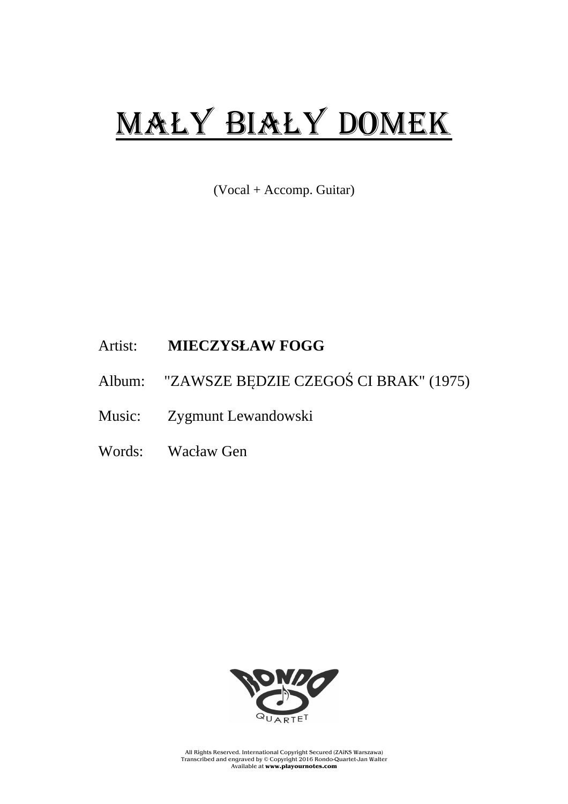## MAŁY BIAŁY DOMEK

(Vocal + Accomp. Guitar)

## Artist: **MIECZYSŁAW FOGG**

- Album: "ZAWSZE BĘDZIE CZEGOŚ CI BRAK" (1975)
- Music: Zygmunt Lewandowski
- Words: Wacław Gen



All Rights Reserved. International Copyright Secured (ZAiKS Warszawa) Transcribed and engraved by © Copyright 2016 Rondo-Quartet-Jan Walter Available at **www.playournotes.com**